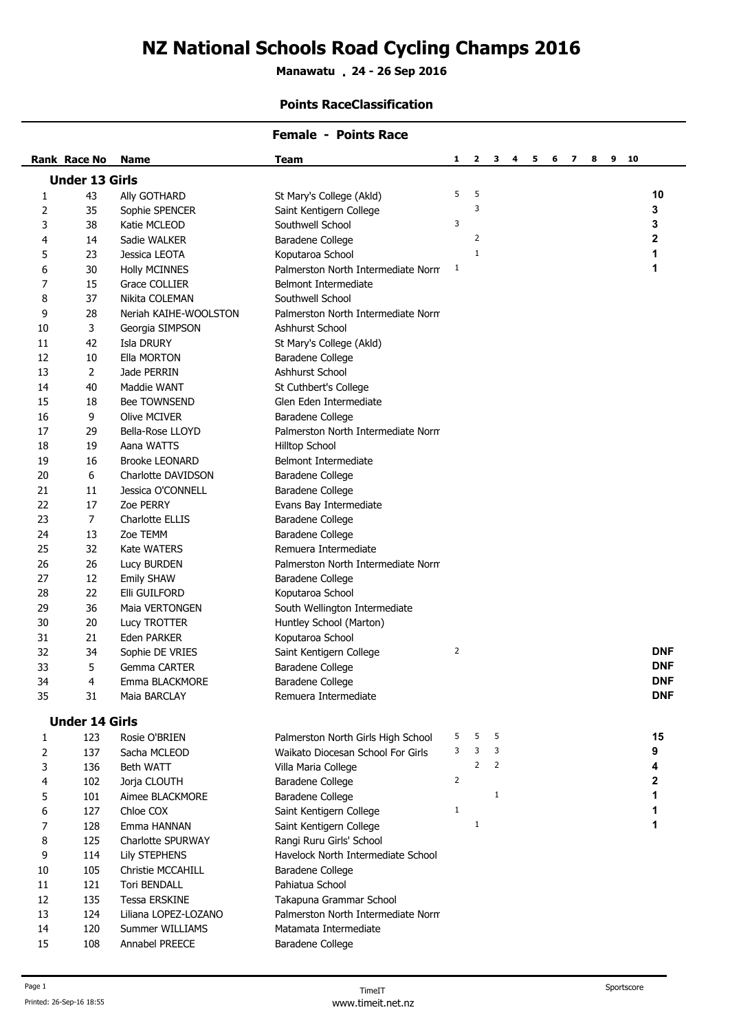# **NZ National Schools Road Cycling Champs 2016**

**Manawatu 24 - 26 Sep 2016 .**

## **Points RaceClassification**

|                       |                |                       | <b>Female - Points Race</b>        |                |                |                                                            |            |
|-----------------------|----------------|-----------------------|------------------------------------|----------------|----------------|------------------------------------------------------------|------------|
| Rank Race No          |                | <b>Name</b>           | <b>Team</b>                        | 1              | 2              | 3<br>5<br>6<br>7<br>8<br>9 <sub>10</sub><br>$\overline{4}$ |            |
| <b>Under 13 Girls</b> |                |                       |                                    |                |                |                                                            |            |
| 43<br>1               |                | Ally GOTHARD          | St Mary's College (Akld)           | 5              | 5              |                                                            | 10         |
| 35<br>2               |                | Sophie SPENCER        | Saint Kentigern College            |                | 3              |                                                            | 3          |
| 3<br>38               |                | Katie MCLEOD          | Southwell School                   | 3              |                |                                                            | 3          |
| 4<br>14               |                | Sadie WALKER          | Baradene College                   |                | $\overline{2}$ |                                                            | 2          |
| 23<br>5               |                | Jessica LEOTA         | Koputaroa School                   |                | $\mathbf{1}$   |                                                            | 1          |
| 6<br>30               |                | <b>Holly MCINNES</b>  | Palmerston North Intermediate Norm | 1              |                |                                                            | 1          |
| 7<br>15               |                | <b>Grace COLLIER</b>  | Belmont Intermediate               |                |                |                                                            |            |
| 8<br>37               |                | Nikita COLEMAN        | Southwell School                   |                |                |                                                            |            |
| 9<br>28               |                | Neriah KAIHE-WOOLSTON | Palmerston North Intermediate Norm |                |                |                                                            |            |
| 10                    | 3              | Georgia SIMPSON       | Ashhurst School                    |                |                |                                                            |            |
| 42<br>11              |                | Isla DRURY            | St Mary's College (Akld)           |                |                |                                                            |            |
| 12<br>10              |                | Ella MORTON           | Baradene College                   |                |                |                                                            |            |
| 13                    | $\overline{2}$ | Jade PERRIN           | Ashhurst School                    |                |                |                                                            |            |
| 40<br>14              |                | Maddie WANT           | St Cuthbert's College              |                |                |                                                            |            |
| 15<br>18              |                | Bee TOWNSEND          | Glen Eden Intermediate             |                |                |                                                            |            |
| 9<br>16               |                | <b>Olive MCIVER</b>   | Baradene College                   |                |                |                                                            |            |
| 17<br>29              |                | Bella-Rose LLOYD      | Palmerston North Intermediate Norm |                |                |                                                            |            |
| 19<br>18              |                | Aana WATTS            | <b>Hilltop School</b>              |                |                |                                                            |            |
| 16<br>19              |                | <b>Brooke LEONARD</b> | <b>Belmont Intermediate</b>        |                |                |                                                            |            |
| 6<br>20               |                | Charlotte DAVIDSON    | Baradene College                   |                |                |                                                            |            |
| 21<br>11              |                | Jessica O'CONNELL     | Baradene College                   |                |                |                                                            |            |
| 17<br>22              |                | Zoe PERRY             | Evans Bay Intermediate             |                |                |                                                            |            |
| 23                    | $\overline{7}$ | Charlotte ELLIS       | Baradene College                   |                |                |                                                            |            |
| 13<br>24              |                | Zoe TEMM              | Baradene College                   |                |                |                                                            |            |
| 32<br>25              |                | <b>Kate WATERS</b>    | Remuera Intermediate               |                |                |                                                            |            |
| 26<br>26              |                | Lucy BURDEN           | Palmerston North Intermediate Norm |                |                |                                                            |            |
| 27<br>12              |                | <b>Emily SHAW</b>     | Baradene College                   |                |                |                                                            |            |
| 22<br>28              |                | Elli GUILFORD         | Koputaroa School                   |                |                |                                                            |            |
| 36<br>29              |                | Maia VERTONGEN        | South Wellington Intermediate      |                |                |                                                            |            |
| 20<br>30              |                | Lucy TROTTER          | Huntley School (Marton)            |                |                |                                                            |            |
| 31<br>21              |                | Eden PARKER           | Koputaroa School                   |                |                |                                                            |            |
| 32<br>34              |                | Sophie DE VRIES       | Saint Kentigern College            | $\overline{2}$ |                |                                                            | <b>DNF</b> |
| 5<br>33               |                | Gemma CARTER          | Baradene College                   |                |                |                                                            | <b>DNF</b> |
| 34<br>4               |                | Emma BLACKMORE        | Baradene College                   |                |                |                                                            | <b>DNF</b> |
| 35<br>31              |                | Maia BARCLAY          | Remuera Intermediate               |                |                |                                                            | <b>DNF</b> |
|                       |                |                       |                                    |                |                |                                                            |            |
| <b>Under 14 Girls</b> |                |                       |                                    |                |                |                                                            |            |
| 123<br>1              |                | Rosie O'BRIEN         | Palmerston North Girls High School | 5              | 5              | 5                                                          | 15         |
| 137<br>2              |                | Sacha MCLEOD          | Waikato Diocesan School For Girls  | 3              | 3              | 3                                                          | 9          |
| 3<br>136              |                | Beth WATT             | Villa Maria College                |                | $\overline{2}$ | $\overline{2}$                                             | 4          |
| 102<br>4              |                | Jorja CLOUTH          | Baradene College                   | $\overline{2}$ |                |                                                            | 2          |
| 5<br>101              |                | Aimee BLACKMORE       | Baradene College                   |                |                | $\mathbf{1}$                                               | 1          |
| 6<br>127              |                | Chloe COX             | Saint Kentigern College            | $\mathbf{1}$   |                |                                                            | 1          |
| 128<br>7              |                | Emma HANNAN           | Saint Kentigern College            |                | $\mathbf{1}$   |                                                            | 1          |
| 8<br>125              |                | Charlotte SPURWAY     | Rangi Ruru Girls' School           |                |                |                                                            |            |
| 9<br>114              |                | <b>Lily STEPHENS</b>  | Havelock North Intermediate School |                |                |                                                            |            |
| 105<br>10             |                | Christie MCCAHILL     | Baradene College                   |                |                |                                                            |            |
| 121<br>11             |                | Tori BENDALL          | Pahiatua School                    |                |                |                                                            |            |
| 135<br>12             |                | <b>Tessa ERSKINE</b>  | Takapuna Grammar School            |                |                |                                                            |            |
| 124<br>13             |                | Liliana LOPEZ-LOZANO  | Palmerston North Intermediate Norm |                |                |                                                            |            |
| 120<br>14             |                | Summer WILLIAMS       | Matamata Intermediate              |                |                |                                                            |            |
| 108<br>15             |                | Annabel PREECE        | Baradene College                   |                |                |                                                            |            |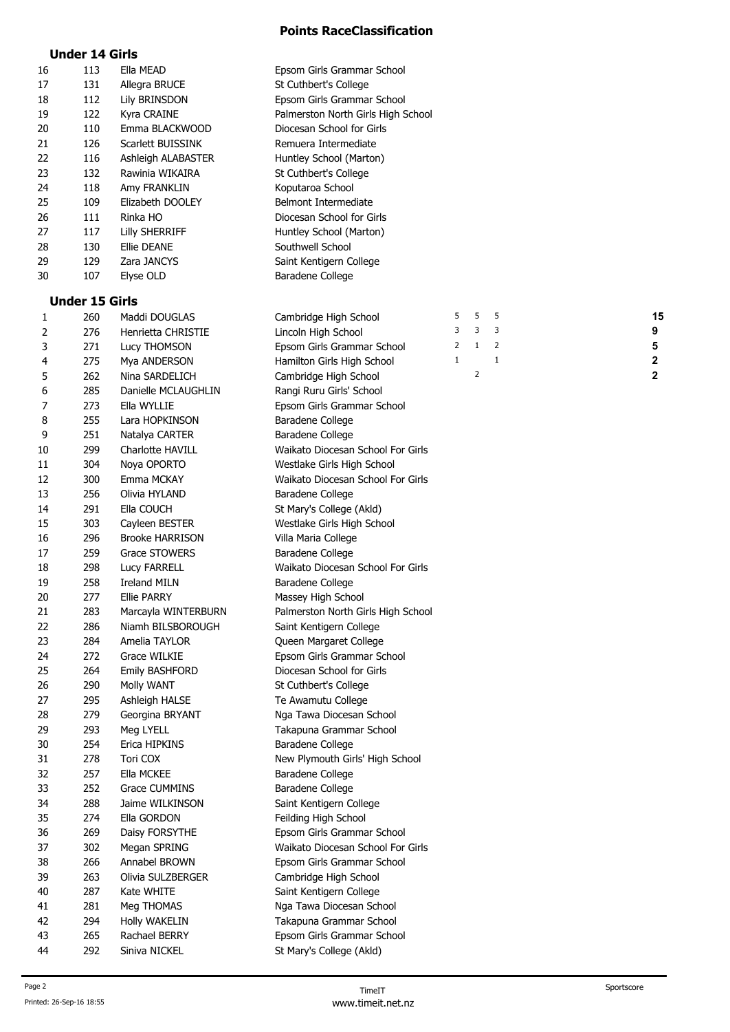## **Under 14 Girls**

| 16 | 113                   | Ella MEAD                  | Epsom Girls Grammar School         |   |                |              |  |             |
|----|-----------------------|----------------------------|------------------------------------|---|----------------|--------------|--|-------------|
| 17 | 131                   | Allegra BRUCE              | St Cuthbert's College              |   |                |              |  |             |
| 18 | 112                   | Lily BRINSDON              | Epsom Girls Grammar School         |   |                |              |  |             |
| 19 | 122                   | Kyra CRAINE                | Palmerston North Girls High School |   |                |              |  |             |
| 20 | 110                   | Emma BLACKWOOD             | Diocesan School for Girls          |   |                |              |  |             |
| 21 | 126                   | <b>Scarlett BUISSINK</b>   | Remuera Intermediate               |   |                |              |  |             |
| 22 | 116                   | Ashleigh ALABASTER         | Huntley School (Marton)            |   |                |              |  |             |
| 23 | 132                   | Rawinia WIKAIRA            | St Cuthbert's College              |   |                |              |  |             |
| 24 | 118                   | Amy FRANKLIN               | Koputaroa School                   |   |                |              |  |             |
| 25 | 109                   | Elizabeth DOOLEY           | <b>Belmont Intermediate</b>        |   |                |              |  |             |
| 26 | 111                   | Rinka HO                   | Diocesan School for Girls          |   |                |              |  |             |
| 27 | 117                   |                            |                                    |   |                |              |  |             |
|    |                       | <b>Lilly SHERRIFF</b>      | Huntley School (Marton)            |   |                |              |  |             |
| 28 | 130<br>129            | Ellie DEANE<br>Zara JANCYS | Southwell School                   |   |                |              |  |             |
| 29 |                       |                            | Saint Kentigern College            |   |                |              |  |             |
| 30 | 107                   | Elyse OLD                  | Baradene College                   |   |                |              |  |             |
|    | <b>Under 15 Girls</b> |                            |                                    |   |                |              |  |             |
| 1  | 260                   | Maddi DOUGLAS              | Cambridge High School              | 5 | 5              | 5            |  | 15          |
| 2  | 276                   | Henrietta CHRISTIE         | Lincoln High School                | 3 | 3              | 3            |  | 9           |
| 3  | 271                   | Lucy THOMSON               | Epsom Girls Grammar School         | 2 | $\mathbf{1}$   | 2            |  | 5           |
| 4  | 275                   | Mya ANDERSON               | Hamilton Girls High School         | 1 |                | $\mathbf{1}$ |  | 2           |
| 5  | 262                   | Nina SARDELICH             | Cambridge High School              |   | $\overline{2}$ |              |  | $\mathbf 2$ |
|    |                       |                            |                                    |   |                |              |  |             |
| 6  | 285                   | Danielle MCLAUGHLIN        | Rangi Ruru Girls' School           |   |                |              |  |             |
| 7  | 273                   | Ella WYLLIE                | Epsom Girls Grammar School         |   |                |              |  |             |
| 8  | 255                   | Lara HOPKINSON             | Baradene College                   |   |                |              |  |             |
| 9  | 251                   | Natalya CARTER             | Baradene College                   |   |                |              |  |             |
| 10 | 299                   | Charlotte HAVILL           | Waikato Diocesan School For Girls  |   |                |              |  |             |
| 11 | 304                   | Noya OPORTO                | Westlake Girls High School         |   |                |              |  |             |
| 12 | 300                   | Emma MCKAY                 | Waikato Diocesan School For Girls  |   |                |              |  |             |
| 13 | 256                   | Olivia HYLAND              | Baradene College                   |   |                |              |  |             |
| 14 | 291                   | Ella COUCH                 | St Mary's College (Akld)           |   |                |              |  |             |
| 15 | 303                   | Cayleen BESTER             | Westlake Girls High School         |   |                |              |  |             |
| 16 | 296                   | <b>Brooke HARRISON</b>     | Villa Maria College                |   |                |              |  |             |
| 17 | 259                   | <b>Grace STOWERS</b>       | Baradene College                   |   |                |              |  |             |
| 18 | 298                   | Lucy FARRELL               | Waikato Diocesan School For Girls  |   |                |              |  |             |
| 19 | 258                   | <b>Ireland MILN</b>        | Baradene College                   |   |                |              |  |             |
| 20 | 277                   | <b>Ellie PARRY</b>         | Massey High School                 |   |                |              |  |             |
| 21 | 283                   | Marcayla WINTERBURN        | Palmerston North Girls High School |   |                |              |  |             |
| 22 | 286                   | Niamh BILSBOROUGH          | Saint Kentigern College            |   |                |              |  |             |
| 23 | 284                   | Amelia TAYLOR              | Queen Margaret College             |   |                |              |  |             |
| 24 | 272                   | Grace WILKIE               | Epsom Girls Grammar School         |   |                |              |  |             |
| 25 | 264                   | <b>Emily BASHFORD</b>      | Diocesan School for Girls          |   |                |              |  |             |
| 26 | 290                   | Molly WANT                 | St Cuthbert's College              |   |                |              |  |             |
| 27 | 295                   | Ashleigh HALSE             | Te Awamutu College                 |   |                |              |  |             |
| 28 | 279                   | Georgina BRYANT            | Nga Tawa Diocesan School           |   |                |              |  |             |
| 29 | 293                   | Meg LYELL                  | Takapuna Grammar School            |   |                |              |  |             |
| 30 | 254                   | Erica HIPKINS              | Baradene College                   |   |                |              |  |             |
| 31 | 278                   | Tori COX                   | New Plymouth Girls' High School    |   |                |              |  |             |
| 32 | 257                   | Ella MCKEE                 | Baradene College                   |   |                |              |  |             |
| 33 | 252                   | Grace CUMMINS              | Baradene College                   |   |                |              |  |             |
| 34 | 288                   | Jaime WILKINSON            | Saint Kentigern College            |   |                |              |  |             |
| 35 | 274                   | Ella GORDON                | Feilding High School               |   |                |              |  |             |
| 36 | 269                   | Daisy FORSYTHE             | Epsom Girls Grammar School         |   |                |              |  |             |
| 37 | 302                   | Megan SPRING               | Waikato Diocesan School For Girls  |   |                |              |  |             |
| 38 | 266                   | Annabel BROWN              | Epsom Girls Grammar School         |   |                |              |  |             |
|    |                       |                            |                                    |   |                |              |  |             |
| 39 | 263                   | Olivia SULZBERGER          | Cambridge High School              |   |                |              |  |             |
| 40 | 287                   | Kate WHITE                 | Saint Kentigern College            |   |                |              |  |             |
| 41 | 281                   | Meg THOMAS                 | Nga Tawa Diocesan School           |   |                |              |  |             |
| 42 | 294                   | Holly WAKELIN              | Takapuna Grammar School            |   |                |              |  |             |
| 43 | 265                   | Rachael BERRY              | Epsom Girls Grammar School         |   |                |              |  |             |
| 44 | 292                   | Siniva NICKEL              | St Mary's College (Akld)           |   |                |              |  |             |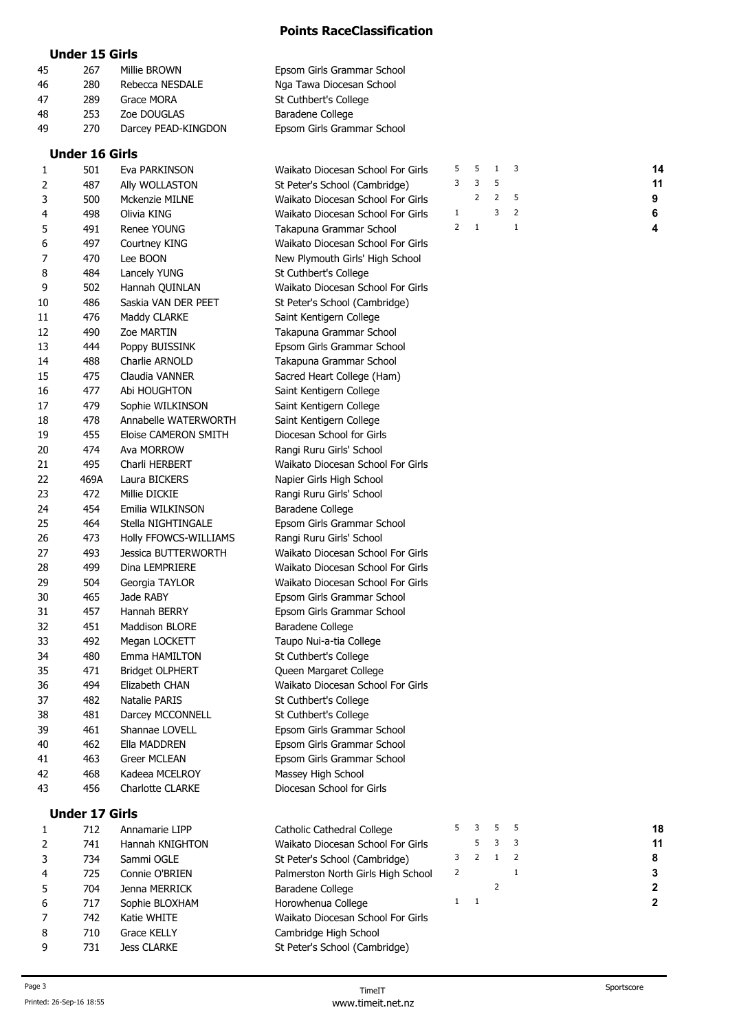#### **Under 15 Girls**

| 45 | 267                   | Millie BROWN        | Epsom Girls Grammar School        |   |    |              |              |    |
|----|-----------------------|---------------------|-----------------------------------|---|----|--------------|--------------|----|
| 46 | 280                   | Rebecca NESDALE     | Nga Tawa Diocesan School          |   |    |              |              |    |
| 47 | 289                   | Grace MORA          | St Cuthbert's College             |   |    |              |              |    |
| 48 | 253                   | Zoe DOUGLAS         | Baradene College                  |   |    |              |              |    |
| 49 | 270                   | Darcey PEAD-KINGDON | Epsom Girls Grammar School        |   |    |              |              |    |
|    | <b>Under 16 Girls</b> |                     |                                   |   |    |              |              |    |
|    | 501                   | Eva PARKINSON       | Waikato Diocesan School For Girls | 5 | 5  | $\mathbf{1}$ | -3           | 14 |
| 2  | 487                   | Ally WOLLASTON      | St Peter's School (Cambridge)     | 3 | 3  | 5            |              | 11 |
| 3  | 500                   | Mckenzie MILNE      | Waikato Diocesan School For Girls |   | 2  | 2            | 5            | 9  |
| 4  | 498                   | Olivia KING         | Waikato Diocesan School For Girls | 1 |    | 3            | 2            | 6  |
| 5  | 491                   | Renee YOUNG         | Takapuna Grammar School           | 2 | -1 |              | $\mathbf{1}$ | 4  |
| 6  | 497                   | Courtney KING       | Waikato Diocesan School For Girls |   |    |              |              |    |
|    | 470                   | Lee BOON            | New Plymouth Girls' High School   |   |    |              |              |    |
| 8  | 484                   | Lancely YUNG        | St Cuthbert's College             |   |    |              |              |    |
| 9  | 502                   | Hannah OUINLAN      | Waikato Diocesan School For Girls |   |    |              |              |    |
| 10 | 486                   | Saskia VAN DER PEET | St Peter's School (Cambridge)     |   |    |              |              |    |
| 11 | 476                   | Maddy CLARKE        | Saint Kentigern College           |   |    |              |              |    |
| 12 | 490                   | <b>Zoe MARTIN</b>   | Takapuna Grammar School           |   |    |              |              |    |
| 13 | 444                   | Poppy BUISSINK      | Epsom Girls Grammar School        |   |    |              |              |    |
| 14 | 488                   | Charlie ARNOLD      | Takapuna Grammar School           |   |    |              |              |    |
| 15 | 475                   | Claudia VANNER      | Sacred Heart College (Ham)        |   |    |              |              |    |
| 16 | 477                   | Abi HOUGHTON        | Saint Kentigern College           |   |    |              |              |    |

17 479 Sophie WILKINSON Saint Kentigern College 478 Annabelle WATERWORTH Saint Kentigern College 455 Eloise CAMERON SMITH Diocesan School for Girls 474 Ava MORROW Rangi Ruru Girls' School

22 469A Laura BICKERS Napier Girls High School 23 472 Millie DICKIE Rangi Ruru Girls' School 454 Emilia WILKINSON Baradene College

32 451 Maddison BLORE Baradene College 33 492 Megan LOCKETT Taupo Nui-a-tia College 480 Emma HAMILTON St Cuthbert's College 471 Bridget OLPHERT Queen Margaret College

37 482 Natalie PARIS St Cuthbert's College 38 481 Darcey MCCONNELL St Cuthbert's College 461 Shannae LOVELL Epsom Girls Grammar School 462 Ella MADDREN Epsom Girls Grammar School 463 Greer MCLEAN Epsom Girls Grammar School

 468 Kadeea MCELROY Massey High School 456 Charlotte CLARKE Diocesan School for Girls

25 464 Stella NIGHTINGALE Epsom Girls Grammar School 26 473 Holly FFOWCS-WILLIAMS Rangi Ruru Girls' School

 493 Jessica BUTTERWORTH Waikato Diocesan School For Girls 499 Dina LEMPRIERE Waikato Diocesan School For Girls 504 Georgia TAYLOR Waikato Diocesan School For Girls 465 Jade RABY Epsom Girls Grammar School 457 Hannah BERRY Epsom Girls Grammar School

494 Elizabeth CHAN Waikato Diocesan School For Girls

495 Charli HERBERT Waikato Diocesan School For Girls

| 1 | $\overline{\mathbf{3}}$ | $5 \quad 1$         |                |  |
|---|-------------------------|---------------------|----------------|--|
| 1 |                         |                     | 3 <sub>5</sub> |  |
| 9 |                         | $2 \quad 2 \quad 5$ |                |  |
| 6 | 3 <sub>2</sub>          |                     |                |  |
| 4 |                         |                     |                |  |

| <b>Under 17 Girls</b> |
|-----------------------|
|-----------------------|

|   | 712 | Annamarie LIPP     | Catholic Cathedral College         |   | 5 | 18 |
|---|-----|--------------------|------------------------------------|---|---|----|
|   | 741 | Hannah KNIGHTON    | Waikato Diocesan School For Girls  |   |   | 11 |
|   | 734 | Sammi OGLE         | St Peter's School (Cambridge)      |   |   | 8  |
| 4 | 725 | Connie O'BRIEN     | Palmerston North Girls High School | 2 |   | 3  |
|   | 704 | Jenna MERRICK      | Baradene College                   |   |   |    |
| 6 | 717 | Sophie BLOXHAM     | Horowhenua College                 |   |   |    |
|   | 742 | Katie WHITE        | Waikato Diocesan School For Girls  |   |   |    |
| 8 | 710 | Grace KELLY        | Cambridge High School              |   |   |    |
| 9 | 731 | <b>Jess CLARKE</b> | St Peter's School (Cambridge)      |   |   |    |
|   |     |                    |                                    |   |   |    |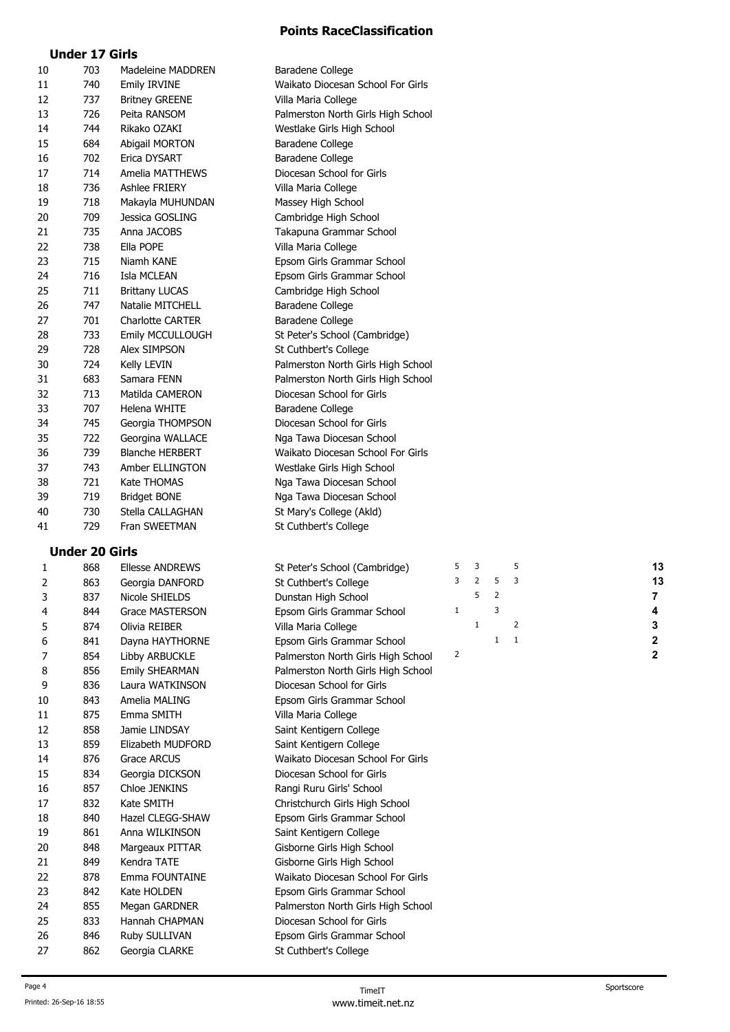# **Under 17 Girls**

| 10 | 703                   | Madeleine MADDREN       | Baradene College                   |   |                |                |   |    |  |
|----|-----------------------|-------------------------|------------------------------------|---|----------------|----------------|---|----|--|
| 11 | 740                   | <b>Emily IRVINE</b>     | Waikato Diocesan School For Girls  |   |                |                |   |    |  |
| 12 | 737                   | <b>Britney GREENE</b>   | Villa Maria College                |   |                |                |   |    |  |
| 13 | 726                   | Peita RANSOM            | Palmerston North Girls High School |   |                |                |   |    |  |
| 14 | 744                   | Rikako OZAKI            | Westlake Girls High School         |   |                |                |   |    |  |
| 15 | 684                   | Abigail MORTON          | <b>Baradene College</b>            |   |                |                |   |    |  |
| 16 | 702                   | Erica DYSART            | Baradene College                   |   |                |                |   |    |  |
| 17 | 714                   | Amelia MATTHEWS         | Diocesan School for Girls          |   |                |                |   |    |  |
| 18 | 736                   | Ashlee FRIERY           | Villa Maria College                |   |                |                |   |    |  |
| 19 | 718                   | Makayla MUHUNDAN        | Massey High School                 |   |                |                |   |    |  |
| 20 | 709                   | Jessica GOSLING         | Cambridge High School              |   |                |                |   |    |  |
| 21 | 735                   | Anna JACOBS             | Takapuna Grammar School            |   |                |                |   |    |  |
| 22 | 738                   | Ella POPE               | Villa Maria College                |   |                |                |   |    |  |
| 23 | 715                   | Niamh KANE              | Epsom Girls Grammar School         |   |                |                |   |    |  |
| 24 | 716                   | Isla MCLEAN             | Epsom Girls Grammar School         |   |                |                |   |    |  |
| 25 | 711                   | <b>Brittany LUCAS</b>   | Cambridge High School              |   |                |                |   |    |  |
| 26 | 747                   | Natalie MITCHELL        | Baradene College                   |   |                |                |   |    |  |
| 27 | 701                   | <b>Charlotte CARTER</b> | Baradene College                   |   |                |                |   |    |  |
| 28 | 733                   | Emily MCCULLOUGH        | St Peter's School (Cambridge)      |   |                |                |   |    |  |
| 29 | 728                   | Alex SIMPSON            | St Cuthbert's College              |   |                |                |   |    |  |
| 30 | 724                   | Kelly LEVIN             | Palmerston North Girls High School |   |                |                |   |    |  |
| 31 | 683                   | Samara FENN             | Palmerston North Girls High School |   |                |                |   |    |  |
| 32 | 713                   | Matilda CAMERON         | Diocesan School for Girls          |   |                |                |   |    |  |
| 33 | 707                   | Helena WHITE            | Baradene College                   |   |                |                |   |    |  |
| 34 | 745                   | Georgia THOMPSON        | Diocesan School for Girls          |   |                |                |   |    |  |
| 35 | 722                   | Georgina WALLACE        | Nga Tawa Diocesan School           |   |                |                |   |    |  |
| 36 | 739                   | <b>Blanche HERBERT</b>  | Waikato Diocesan School For Girls  |   |                |                |   |    |  |
| 37 | 743                   | Amber ELLINGTON         | Westlake Girls High School         |   |                |                |   |    |  |
| 38 | 721                   | Kate THOMAS             | Nga Tawa Diocesan School           |   |                |                |   |    |  |
| 39 | 719                   | <b>Bridget BONE</b>     | Nga Tawa Diocesan School           |   |                |                |   |    |  |
| 40 | 730                   | Stella CALLAGHAN        | St Mary's College (Akld)           |   |                |                |   |    |  |
| 41 | 729                   | Fran SWEETMAN           | St Cuthbert's College              |   |                |                |   |    |  |
|    | <b>Under 20 Girls</b> |                         |                                    |   |                |                |   |    |  |
| 1  | 868                   | <b>Ellesse ANDREWS</b>  | St Peter's School (Cambridge)      | 5 | 3              |                | 5 | 13 |  |
| 2  | 863                   | Georgia DANFORD         | St Cuthbert's College              | 3 | $\overline{2}$ | 5              | 3 | 13 |  |
| 3  | 837                   | Nicole SHIELDS          | Dunstan High School                |   | 5              | $\overline{2}$ |   | 7  |  |
|    |                       |                         |                                    |   |                |                |   |    |  |

| 3  | 837 | Nicole SHIELDS          | Dunstan High School                |   | 5 | 2            |                |   |
|----|-----|-------------------------|------------------------------------|---|---|--------------|----------------|---|
| 4  | 844 | <b>Grace MASTERSON</b>  | Epsom Girls Grammar School         | 1 |   | 3            |                |   |
| 5  | 874 | Olivia REIBER           | Villa Maria College                |   | 1 |              | 2              | 3 |
| 6  | 841 | Dayna HAYTHORNE         | Epsom Girls Grammar School         |   |   | $\mathbf{1}$ | $\overline{1}$ | 2 |
| 7  | 854 | Libby ARBUCKLE          | Palmerston North Girls High School | 2 |   |              |                | 2 |
| 8  | 856 | <b>Emily SHEARMAN</b>   | Palmerston North Girls High School |   |   |              |                |   |
| 9  | 836 | Laura WATKINSON         | Diocesan School for Girls          |   |   |              |                |   |
| 10 | 843 | Amelia MALING           | Epsom Girls Grammar School         |   |   |              |                |   |
| 11 | 875 | Emma SMITH              | Villa Maria College                |   |   |              |                |   |
| 12 | 858 | Jamie LINDSAY           | Saint Kentigern College            |   |   |              |                |   |
| 13 | 859 | Elizabeth MUDFORD       | Saint Kentigern College            |   |   |              |                |   |
| 14 | 876 | Grace ARCUS             | Waikato Diocesan School For Girls  |   |   |              |                |   |
| 15 | 834 | Georgia DICKSON         | Diocesan School for Girls          |   |   |              |                |   |
| 16 | 857 | Chloe JENKINS           | Rangi Ruru Girls' School           |   |   |              |                |   |
| 17 | 832 | Kate SMITH              | Christchurch Girls High School     |   |   |              |                |   |
| 18 | 840 | <b>Hazel CLEGG-SHAW</b> | Epsom Girls Grammar School         |   |   |              |                |   |
| 19 | 861 | Anna WILKINSON          | Saint Kentigern College            |   |   |              |                |   |
| 20 | 848 | Margeaux PITTAR         | Gisborne Girls High School         |   |   |              |                |   |
| 21 | 849 | Kendra TATE             | Gisborne Girls High School         |   |   |              |                |   |
| 22 | 878 | Emma FOUNTAINE          | Waikato Diocesan School For Girls  |   |   |              |                |   |
| 23 | 842 | Kate HOLDEN             | Epsom Girls Grammar School         |   |   |              |                |   |
| 24 | 855 | Megan GARDNER           | Palmerston North Girls High School |   |   |              |                |   |
| 25 | 833 | Hannah CHAPMAN          | Diocesan School for Girls          |   |   |              |                |   |
| 26 | 846 | Ruby SULLIVAN           | Epsom Girls Grammar School         |   |   |              |                |   |
| 27 | 862 | Georgia CLARKE          | St Cuthbert's College              |   |   |              |                |   |
|    |     |                         |                                    |   |   |              |                |   |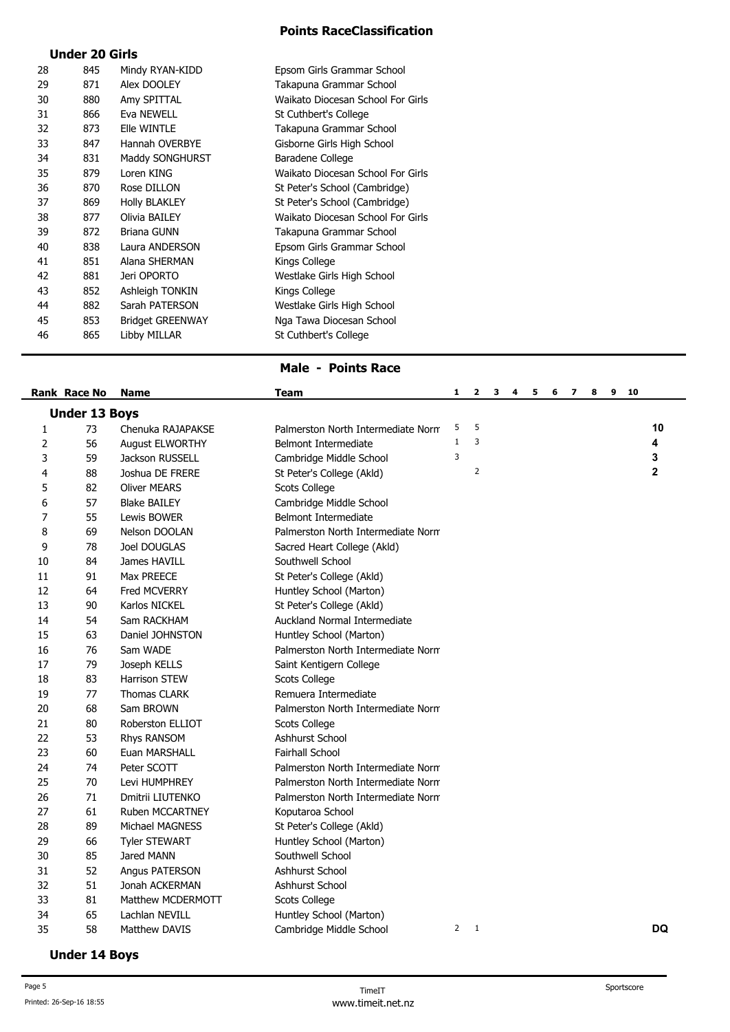## **Under 20 Girls**

| 28 | 845 | Mindy RYAN-KIDD         | Epsom Girls Grammar School        |
|----|-----|-------------------------|-----------------------------------|
| 29 | 871 | Alex DOOLEY             | Takapuna Grammar School           |
| 30 | 880 | Amy SPITTAL             | Waikato Diocesan School For Girls |
| 31 | 866 | Eva NEWELL              | St Cuthbert's College             |
| 32 | 873 | Elle WINTLE             | Takapuna Grammar School           |
| 33 | 847 | Hannah OVERBYE          | Gisborne Girls High School        |
| 34 | 831 | Maddy SONGHURST         | Baradene College                  |
| 35 | 879 | Loren KING              | Waikato Diocesan School For Girls |
| 36 | 870 | Rose DILLON             | St Peter's School (Cambridge)     |
| 37 | 869 | <b>Holly BLAKLEY</b>    | St Peter's School (Cambridge)     |
| 38 | 877 | Olivia BAILEY           | Waikato Diocesan School For Girls |
| 39 | 872 | <b>Briana GUNN</b>      | Takapuna Grammar School           |
| 40 | 838 | Laura ANDERSON          | Epsom Girls Grammar School        |
| 41 | 851 | Alana SHERMAN           | Kings College                     |
| 42 | 881 | Jeri OPORTO             | Westlake Girls High School        |
| 43 | 852 | Ashleigh TONKIN         | Kings College                     |
| 44 | 882 | Sarah PATERSON          | Westlake Girls High School        |
| 45 | 853 | <b>Bridget GREENWAY</b> | Nga Tawa Diocesan School          |
| 46 | 865 | Libby MILLAR            | St Cuthbert's College             |
|    |     |                         |                                   |

#### **Male - Points Race**

|                | Rank Race No         | <b>Name</b>            | Team                               | 1.           | $\overline{\mathbf{2}}$ | 3 | 4 | 5. | 6 | 7 8 | 9 10 |             |
|----------------|----------------------|------------------------|------------------------------------|--------------|-------------------------|---|---|----|---|-----|------|-------------|
|                | <b>Under 13 Boys</b> |                        |                                    |              |                         |   |   |    |   |     |      |             |
| 1              | 73                   | Chenuka RAJAPAKSE      | Palmerston North Intermediate Norm | 5            | 5                       |   |   |    |   |     |      | 10          |
| 2              | 56                   | August ELWORTHY        | Belmont Intermediate               | $\mathbf{1}$ | $\overline{3}$          |   |   |    |   |     |      | 4           |
| 3              | 59                   | Jackson RUSSELL        | Cambridge Middle School            | 3            |                         |   |   |    |   |     |      | 3           |
| 4              | 88                   | Joshua DE FRERE        | St Peter's College (Akld)          |              | $\overline{2}$          |   |   |    |   |     |      | $\mathbf 2$ |
| 5              | 82                   | <b>Oliver MEARS</b>    | Scots College                      |              |                         |   |   |    |   |     |      |             |
| 6              | 57                   | <b>Blake BAILEY</b>    | Cambridge Middle School            |              |                         |   |   |    |   |     |      |             |
| $\overline{7}$ | 55                   | Lewis BOWER            | Belmont Intermediate               |              |                         |   |   |    |   |     |      |             |
| 8              | 69                   | Nelson DOOLAN          | Palmerston North Intermediate Norm |              |                         |   |   |    |   |     |      |             |
| 9              | 78                   | Joel DOUGLAS           | Sacred Heart College (Akld)        |              |                         |   |   |    |   |     |      |             |
| 10             | 84                   | James HAVILL           | Southwell School                   |              |                         |   |   |    |   |     |      |             |
| 11             | 91                   | Max PREECE             | St Peter's College (Akld)          |              |                         |   |   |    |   |     |      |             |
| 12             | 64                   | Fred MCVERRY           | Huntley School (Marton)            |              |                         |   |   |    |   |     |      |             |
| 13             | 90                   | Karlos NICKEL          | St Peter's College (Akld)          |              |                         |   |   |    |   |     |      |             |
| 14             | 54                   | Sam RACKHAM            | Auckland Normal Intermediate       |              |                         |   |   |    |   |     |      |             |
| 15             | 63                   | Daniel JOHNSTON        | Huntley School (Marton)            |              |                         |   |   |    |   |     |      |             |
| 16             | 76                   | Sam WADE               | Palmerston North Intermediate Norm |              |                         |   |   |    |   |     |      |             |
| 17             | 79                   | Joseph KELLS           | Saint Kentigern College            |              |                         |   |   |    |   |     |      |             |
| 18             | 83                   | Harrison STEW          | <b>Scots College</b>               |              |                         |   |   |    |   |     |      |             |
| 19             | 77                   | Thomas CLARK           | Remuera Intermediate               |              |                         |   |   |    |   |     |      |             |
| 20             | 68                   | Sam BROWN              | Palmerston North Intermediate Norm |              |                         |   |   |    |   |     |      |             |
| 21             | 80                   | Roberston ELLIOT       | Scots College                      |              |                         |   |   |    |   |     |      |             |
| 22             | 53                   | Rhys RANSOM            | Ashhurst School                    |              |                         |   |   |    |   |     |      |             |
| 23             | 60                   | Euan MARSHALL          | <b>Fairhall School</b>             |              |                         |   |   |    |   |     |      |             |
| 24             | 74                   | Peter SCOTT            | Palmerston North Intermediate Norm |              |                         |   |   |    |   |     |      |             |
| 25             | 70                   | Levi HUMPHREY          | Palmerston North Intermediate Norm |              |                         |   |   |    |   |     |      |             |
| 26             | 71                   | Dmitrii LIUTENKO       | Palmerston North Intermediate Norm |              |                         |   |   |    |   |     |      |             |
| 27             | 61                   | Ruben MCCARTNEY        | Koputaroa School                   |              |                         |   |   |    |   |     |      |             |
| 28             | 89                   | <b>Michael MAGNESS</b> | St Peter's College (Akld)          |              |                         |   |   |    |   |     |      |             |
| 29             | 66                   | <b>Tyler STEWART</b>   | Huntley School (Marton)            |              |                         |   |   |    |   |     |      |             |
| 30             | 85                   | Jared MANN             | Southwell School                   |              |                         |   |   |    |   |     |      |             |
| 31             | 52                   | Angus PATERSON         | Ashhurst School                    |              |                         |   |   |    |   |     |      |             |
| 32             | 51                   | Jonah ACKERMAN         | Ashhurst School                    |              |                         |   |   |    |   |     |      |             |
| 33             | 81                   | Matthew MCDERMOTT      | Scots College                      |              |                         |   |   |    |   |     |      |             |
| 34             | 65                   | Lachlan NEVILL         | Huntley School (Marton)            |              |                         |   |   |    |   |     |      |             |
| 35             | 58                   | Matthew DAVIS          | Cambridge Middle School            |              | $2 \quad 1$             |   |   |    |   |     |      | <b>DQ</b>   |

## **Under 14 Boys**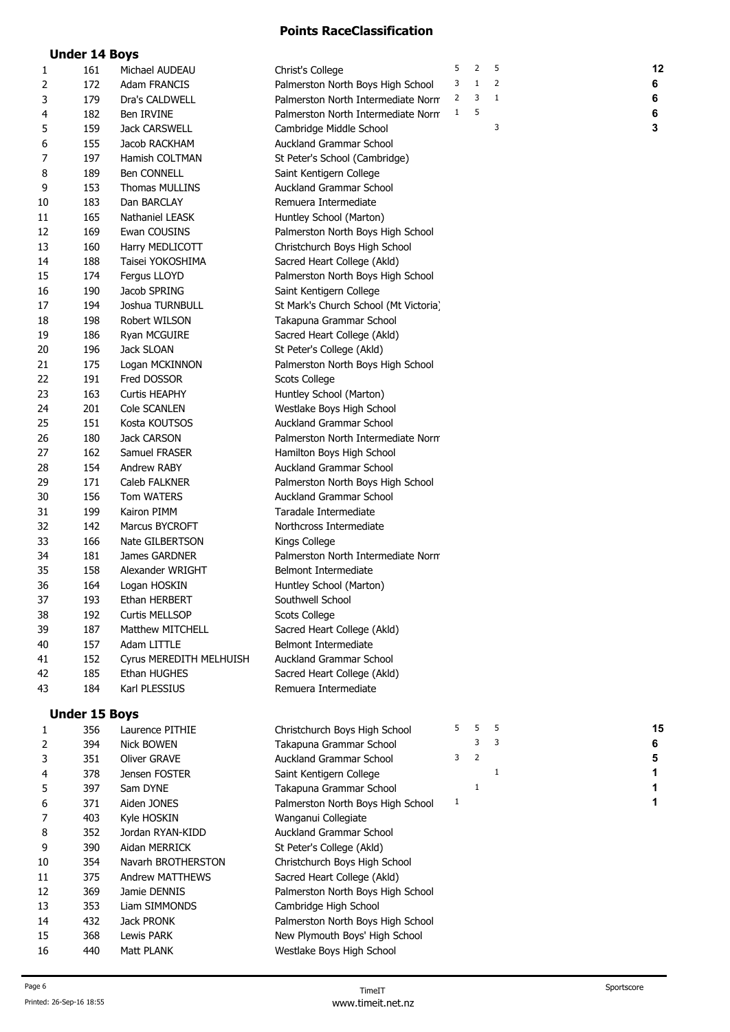|    | <b>Under 14 Boys</b> |                         |                                       |   |                |             |    |
|----|----------------------|-------------------------|---------------------------------------|---|----------------|-------------|----|
| 1  | 161                  | Michael AUDEAU          | Christ's College                      | 5 | $\overline{2}$ | 5           | 12 |
| 2  | 172                  | <b>Adam FRANCIS</b>     | Palmerston North Boys High School     | 3 | 1              | 2           | 6  |
| 3  | 179                  | Dra's CALDWELL          | Palmerston North Intermediate Norm    | 2 | 3              | 1           | 6  |
| 4  | 182                  | Ben IRVINE              | Palmerston North Intermediate Norm    | 1 | 5              |             | 6  |
| 5  | 159                  | <b>Jack CARSWELL</b>    | Cambridge Middle School               |   |                | 3           | 3  |
| 6  | 155                  | Jacob RACKHAM           | Auckland Grammar School               |   |                |             |    |
| 7  | 197                  | Hamish COLTMAN          | St Peter's School (Cambridge)         |   |                |             |    |
| 8  | 189                  | <b>Ben CONNELL</b>      | Saint Kentigern College               |   |                |             |    |
| 9  | 153                  | Thomas MULLINS          | <b>Auckland Grammar School</b>        |   |                |             |    |
| 10 | 183                  | Dan BARCLAY             | Remuera Intermediate                  |   |                |             |    |
| 11 | 165                  | Nathaniel LEASK         | Huntley School (Marton)               |   |                |             |    |
| 12 | 169                  | Ewan COUSINS            | Palmerston North Boys High School     |   |                |             |    |
| 13 | 160                  | Harry MEDLICOTT         | Christchurch Boys High School         |   |                |             |    |
| 14 | 188                  | Taisei YOKOSHIMA        | Sacred Heart College (Akld)           |   |                |             |    |
| 15 | 174                  | Fergus LLOYD            | Palmerston North Boys High School     |   |                |             |    |
| 16 | 190                  | Jacob SPRING            | Saint Kentigern College               |   |                |             |    |
| 17 | 194                  | Joshua TURNBULL         | St Mark's Church School (Mt Victoria) |   |                |             |    |
| 18 | 198                  | Robert WILSON           | Takapuna Grammar School               |   |                |             |    |
| 19 | 186                  | Ryan MCGUIRE            | Sacred Heart College (Akld)           |   |                |             |    |
| 20 | 196                  | Jack SLOAN              | St Peter's College (Akld)             |   |                |             |    |
| 21 | 175                  | Logan MCKINNON          | Palmerston North Boys High School     |   |                |             |    |
| 22 | 191                  | Fred DOSSOR             | Scots College                         |   |                |             |    |
| 23 | 163                  | Curtis HEAPHY           | Huntley School (Marton)               |   |                |             |    |
| 24 | 201                  | Cole SCANLEN            | Westlake Boys High School             |   |                |             |    |
| 25 | 151                  | Kosta KOUTSOS           | <b>Auckland Grammar School</b>        |   |                |             |    |
| 26 | 180                  | <b>Jack CARSON</b>      | Palmerston North Intermediate Norm    |   |                |             |    |
| 27 | 162                  | Samuel FRASER           | Hamilton Boys High School             |   |                |             |    |
| 28 | 154                  | Andrew RABY             | Auckland Grammar School               |   |                |             |    |
| 29 | 171                  | Caleb FALKNER           | Palmerston North Boys High School     |   |                |             |    |
| 30 | 156                  | <b>Tom WATERS</b>       | <b>Auckland Grammar School</b>        |   |                |             |    |
| 31 | 199                  | Kairon PIMM             | Taradale Intermediate                 |   |                |             |    |
| 32 | 142                  | Marcus BYCROFT          | Northcross Intermediate               |   |                |             |    |
| 33 | 166                  | Nate GILBERTSON         | Kings College                         |   |                |             |    |
| 34 | 181                  | James GARDNER           | Palmerston North Intermediate Norm    |   |                |             |    |
| 35 | 158                  | Alexander WRIGHT        | <b>Belmont Intermediate</b>           |   |                |             |    |
| 36 | 164                  | Logan HOSKIN            | Huntley School (Marton)               |   |                |             |    |
| 37 | 193                  | Ethan HERBERT           | Southwell School                      |   |                |             |    |
| 38 | 192                  | Curtis MELLSOP          | Scots College                         |   |                |             |    |
| 39 | 187                  | <b>Matthew MITCHELL</b> | Sacred Heart College (Akld)           |   |                |             |    |
| 40 | 157                  | Adam LITTLE             | Belmont Intermediate                  |   |                |             |    |
| 41 | 152                  | Cyrus MEREDITH MELHUISH | Auckland Grammar School               |   |                |             |    |
| 42 | 185                  | Ethan HUGHES            | Sacred Heart College (Akld)           |   |                |             |    |
| 43 | 184                  | Karl PLESSIUS           | Remuera Intermediate                  |   |                |             |    |
|    |                      |                         |                                       |   |                |             |    |
|    | <b>Under 15 Boys</b> |                         |                                       |   |                |             |    |
| 1  | 356                  | Laurence PITHIE         | Christchurch Boys High School         | 5 | 5              | 5           | 15 |
| 2  | 394                  | Nick BOWEN              | Takapuna Grammar School               |   | 3              | 3           | 6  |
| 3  | 351                  | Oliver GRAVE            | <b>Auckland Grammar School</b>        | 3 | $\overline{2}$ |             | 5  |
| 4  | 378                  | Jensen FOSTER           | Saint Kentigern College               |   |                | $\mathbf 1$ | 1  |
| 5  | 397                  | Sam DYNE                | Takapuna Grammar School               |   | $\mathbf{1}$   |             | 1  |
| 6  | 371                  | Aiden JONES             | Palmerston North Boys High School     | 1 |                |             | 1  |
| 7  | 403                  | Kyle HOSKIN             | Wanganui Collegiate                   |   |                |             |    |
| 8  | 352                  | Jordan RYAN-KIDD        | Auckland Grammar School               |   |                |             |    |
| 9  | 390                  | Aidan MERRICK           | St Peter's College (Akld)             |   |                |             |    |
| 10 | 354                  | Navarh BROTHERSTON      | Christchurch Boys High School         |   |                |             |    |
| 11 | 375                  | <b>Andrew MATTHEWS</b>  | Sacred Heart College (Akld)           |   |                |             |    |
| 12 | 369                  | Jamie DENNIS            | Palmerston North Boys High School     |   |                |             |    |
| 13 | 353                  | Liam SIMMONDS           | Cambridge High School                 |   |                |             |    |
| 14 | 432                  | Jack PRONK              | Palmerston North Boys High School     |   |                |             |    |
| 15 | 368                  | Lewis PARK              | New Plymouth Boys' High School        |   |                |             |    |

16 440 Matt PLANK Westlake Boys High School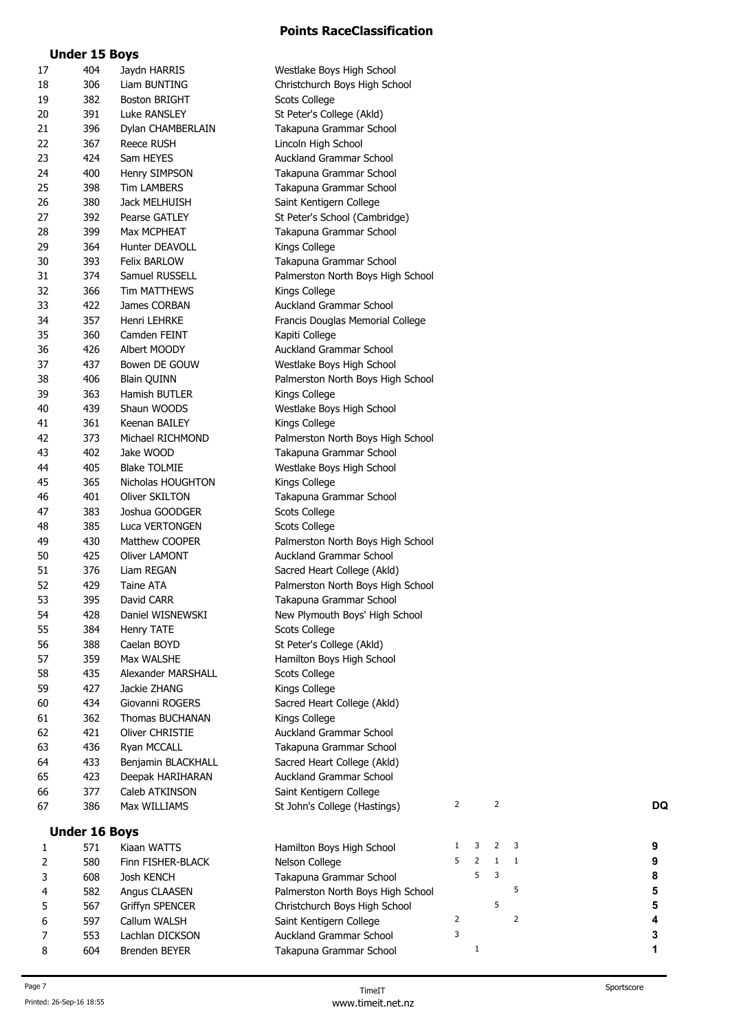|--|

| 17 | 404                  | Jaydn HARRIS         | Westlake Boys High School         |                |              |                |                |           |
|----|----------------------|----------------------|-----------------------------------|----------------|--------------|----------------|----------------|-----------|
| 18 | 306                  | Liam BUNTING         | Christchurch Boys High School     |                |              |                |                |           |
| 19 | 382                  | <b>Boston BRIGHT</b> | Scots College                     |                |              |                |                |           |
| 20 | 391                  | Luke RANSLEY         | St Peter's College (Akld)         |                |              |                |                |           |
| 21 | 396                  | Dylan CHAMBERLAIN    | Takapuna Grammar School           |                |              |                |                |           |
| 22 | 367                  | Reece RUSH           | Lincoln High School               |                |              |                |                |           |
| 23 | 424                  | Sam HEYES            | Auckland Grammar School           |                |              |                |                |           |
| 24 | 400                  | Henry SIMPSON        | Takapuna Grammar School           |                |              |                |                |           |
| 25 | 398                  | <b>Tim LAMBERS</b>   | Takapuna Grammar School           |                |              |                |                |           |
| 26 | 380                  | Jack MELHUISH        | Saint Kentigern College           |                |              |                |                |           |
| 27 | 392                  | Pearse GATLEY        | St Peter's School (Cambridge)     |                |              |                |                |           |
| 28 | 399                  | Max MCPHEAT          | Takapuna Grammar School           |                |              |                |                |           |
| 29 | 364                  | Hunter DEAVOLL       | Kings College                     |                |              |                |                |           |
| 30 | 393                  | <b>Felix BARLOW</b>  | Takapuna Grammar School           |                |              |                |                |           |
|    | 374                  |                      |                                   |                |              |                |                |           |
| 31 |                      | Samuel RUSSELL       | Palmerston North Boys High School |                |              |                |                |           |
| 32 | 366                  | Tim MATTHEWS         | Kings College                     |                |              |                |                |           |
| 33 | 422                  | James CORBAN         | Auckland Grammar School           |                |              |                |                |           |
| 34 | 357                  | Henri LEHRKE         | Francis Douglas Memorial College  |                |              |                |                |           |
| 35 | 360                  | Camden FEINT         | Kapiti College                    |                |              |                |                |           |
| 36 | 426                  | Albert MOODY         | Auckland Grammar School           |                |              |                |                |           |
| 37 | 437                  | Bowen DE GOUW        | Westlake Boys High School         |                |              |                |                |           |
| 38 | 406                  | <b>Blain QUINN</b>   | Palmerston North Boys High School |                |              |                |                |           |
| 39 | 363                  | Hamish BUTLER        | Kings College                     |                |              |                |                |           |
| 40 | 439                  | Shaun WOODS          | Westlake Boys High School         |                |              |                |                |           |
| 41 | 361                  | Keenan BAILEY        | Kings College                     |                |              |                |                |           |
| 42 | 373                  | Michael RICHMOND     | Palmerston North Boys High School |                |              |                |                |           |
| 43 | 402                  | Jake WOOD            | Takapuna Grammar School           |                |              |                |                |           |
| 44 | 405                  | <b>Blake TOLMIE</b>  | Westlake Boys High School         |                |              |                |                |           |
| 45 | 365                  | Nicholas HOUGHTON    | Kings College                     |                |              |                |                |           |
| 46 | 401                  | Oliver SKILTON       | Takapuna Grammar School           |                |              |                |                |           |
| 47 | 383                  | Joshua GOODGER       | Scots College                     |                |              |                |                |           |
| 48 | 385                  | Luca VERTONGEN       | Scots College                     |                |              |                |                |           |
| 49 | 430                  | Matthew COOPER       | Palmerston North Boys High School |                |              |                |                |           |
| 50 | 425                  | <b>Oliver LAMONT</b> | Auckland Grammar School           |                |              |                |                |           |
| 51 | 376                  | Liam REGAN           | Sacred Heart College (Akld)       |                |              |                |                |           |
| 52 | 429                  | Taine ATA            | Palmerston North Boys High School |                |              |                |                |           |
| 53 | 395                  | David CARR           | Takapuna Grammar School           |                |              |                |                |           |
| 54 | 428                  | Daniel WISNEWSKI     | New Plymouth Boys' High School    |                |              |                |                |           |
| 55 | 384                  | Henry TATE           | Scots College                     |                |              |                |                |           |
| 56 | 388                  | Caelan BOYD          | St Peter's College (Akld)         |                |              |                |                |           |
| 57 | 359                  | Max WALSHE           | Hamilton Boys High School         |                |              |                |                |           |
| 58 | 435                  | Alexander MARSHALL   | Scots College                     |                |              |                |                |           |
| 59 | 427                  | Jackie ZHANG         | Kings College                     |                |              |                |                |           |
| 60 | 434                  | Giovanni ROGERS      | Sacred Heart College (Akld)       |                |              |                |                |           |
| 61 | 362                  | Thomas BUCHANAN      | Kings College                     |                |              |                |                |           |
|    | 421                  | Oliver CHRISTIE      | Auckland Grammar School           |                |              |                |                |           |
| 62 |                      |                      |                                   |                |              |                |                |           |
| 63 | 436                  | Ryan MCCALL          | Takapuna Grammar School           |                |              |                |                |           |
| 64 | 433                  | Benjamin BLACKHALL   | Sacred Heart College (Akld)       |                |              |                |                |           |
| 65 | 423                  | Deepak HARIHARAN     | Auckland Grammar School           |                |              |                |                |           |
| 66 | 377                  | Caleb ATKINSON       | Saint Kentigern College           |                |              |                |                |           |
| 67 | 386                  | Max WILLIAMS         | St John's College (Hastings)      | $\overline{2}$ |              | $\overline{2}$ |                | <b>DQ</b> |
|    | <b>Under 16 Boys</b> |                      |                                   |                |              |                |                |           |
| 1  | 571                  | Kiaan WATTS          | Hamilton Boys High School         | 1              | 3            | 2              | 3              | 9         |
| 2  | 580                  | Finn FISHER-BLACK    | Nelson College                    | 5              | 2            | $\mathbf{1}$   | 1              | 9         |
| 3  | 608                  | Josh KENCH           | Takapuna Grammar School           |                | 5            | 3              |                | 8         |
| 4  | 582                  | Angus CLAASEN        | Palmerston North Boys High School |                |              |                | 5              | 5         |
| 5  | 567                  | Griffyn SPENCER      | Christchurch Boys High School     |                |              | 5              |                | 5         |
| 6  | 597                  | Callum WALSH         | Saint Kentigern College           | 2              |              |                | $\overline{2}$ | 4         |
| 7  | 553                  | Lachlan DICKSON      | <b>Auckland Grammar School</b>    | 3              |              |                |                | 3         |
| 8  | 604                  | Brenden BEYER        | Takapuna Grammar School           |                | $\mathbf{1}$ |                |                | 1         |
|    |                      |                      |                                   |                |              |                |                |           |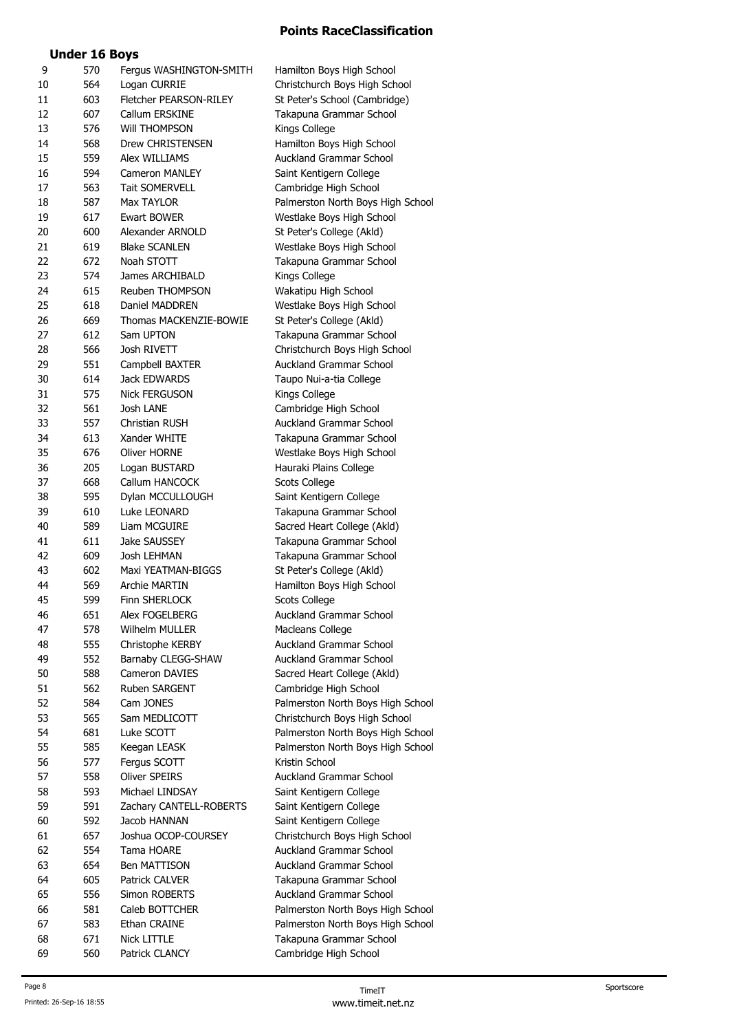## **Under 16 Boys**

| 9  | 570 | Fergus WASHINGTON-SMITH | Hamilton Boys High School         |
|----|-----|-------------------------|-----------------------------------|
| 10 | 564 | Logan CURRIE            | Christchurch Boys High School     |
| 11 | 603 | Fletcher PEARSON-RILEY  | St Peter's School (Cambridge)     |
| 12 | 607 | Callum ERSKINE          | Takapuna Grammar School           |
| 13 | 576 | <b>WIII THOMPSON</b>    | Kings College                     |
| 14 | 568 | Drew CHRISTENSEN        | Hamilton Boys High School         |
| 15 | 559 | Alex WILLIAMS           | Auckland Grammar School           |
| 16 | 594 | Cameron MANLEY          | Saint Kentigern College           |
| 17 | 563 | <b>Tait SOMERVELL</b>   | Cambridge High School             |
| 18 | 587 | Max TAYLOR              | Palmerston North Boys High School |
| 19 | 617 | Ewart BOWER             | Westlake Boys High School         |
| 20 | 600 | Alexander ARNOLD        | St Peter's College (Akld)         |
| 21 | 619 | <b>Blake SCANLEN</b>    | Westlake Boys High School         |
| 22 | 672 | Noah STOTT              | Takapuna Grammar School           |
| 23 | 574 | James ARCHIBALD         | Kings College                     |
| 24 | 615 | Reuben THOMPSON         | Wakatipu High School              |
| 25 | 618 | Daniel MADDREN          | Westlake Boys High School         |
| 26 | 669 | Thomas MACKENZIE-BOWIE  | St Peter's College (Akld)         |
| 27 | 612 | Sam UPTON               |                                   |
|    |     |                         | Takapuna Grammar School           |
| 28 | 566 | Josh RIVETT             | Christchurch Boys High School     |
| 29 | 551 | Campbell BAXTER         | Auckland Grammar School           |
| 30 | 614 | Jack EDWARDS            | Taupo Nui-a-tia College           |
| 31 | 575 | Nick FERGUSON           | Kings College                     |
| 32 | 561 | Josh LANE               | Cambridge High School             |
| 33 | 557 | Christian RUSH          | Auckland Grammar School           |
| 34 | 613 | Xander WHITE            | Takapuna Grammar School           |
| 35 | 676 | Oliver HORNE            | Westlake Boys High School         |
| 36 | 205 | Logan BUSTARD           | Hauraki Plains College            |
| 37 | 668 | Callum HANCOCK          | Scots College                     |
| 38 | 595 | Dylan MCCULLOUGH        | Saint Kentigern College           |
| 39 | 610 | Luke LEONARD            | Takapuna Grammar School           |
| 40 | 589 | Liam MCGUIRE            | Sacred Heart College (Akld)       |
| 41 | 611 | Jake SAUSSEY            | Takapuna Grammar School           |
| 42 | 609 | Josh LEHMAN             | Takapuna Grammar School           |
| 43 | 602 | Maxi YEATMAN-BIGGS      | St Peter's College (Akld)         |
| 44 | 569 | Archie MARTIN           | Hamilton Boys High School         |
| 45 | 599 | Finn SHERLOCK           | Scots College                     |
| 46 | 651 | Alex FOGELBERG          | Auckland Grammar School           |
| 47 | 578 | Wilhelm MULLER          | Macleans College                  |
| 48 | 555 | Christophe KERBY        | Auckland Grammar School           |
| 49 | 552 | Barnaby CLEGG-SHAW      | Auckland Grammar School           |
| 50 | 588 | Cameron DAVIES          | Sacred Heart College (Akld)       |
| 51 | 562 | Ruben SARGENT           | Cambridge High School             |
| 52 | 584 | Cam JONES               | Palmerston North Boys High School |
| 53 | 565 | Sam MEDLICOTT           | Christchurch Boys High School     |
| 54 | 681 | Luke SCOTT              | Palmerston North Boys High School |
| 55 | 585 | Keegan LEASK            | Palmerston North Boys High School |
| 56 | 577 | Fergus SCOTT            | Kristin School                    |
| 57 | 558 | Oliver SPEIRS           | <b>Auckland Grammar School</b>    |
| 58 | 593 | Michael LINDSAY         | Saint Kentigern College           |
| 59 | 591 | Zachary CANTELL-ROBERTS | Saint Kentigern College           |
| 60 | 592 | Jacob HANNAN            | Saint Kentigern College           |
| 61 | 657 | Joshua OCOP-COURSEY     | Christchurch Boys High School     |
| 62 | 554 | Tama HOARE              | Auckland Grammar School           |
| 63 | 654 | Ben MATTISON            | Auckland Grammar School           |
| 64 | 605 | Patrick CALVER          | Takapuna Grammar School           |
| 65 | 556 | Simon ROBERTS           | Auckland Grammar School           |
| 66 | 581 | Caleb BOTTCHER          | Palmerston North Boys High School |
| 67 | 583 | Ethan CRAINE            | Palmerston North Boys High School |
| 68 | 671 | Nick LITTLE             | Takapuna Grammar School           |
| 69 | 560 | Patrick CLANCY          | Cambridge High School             |
|    |     |                         |                                   |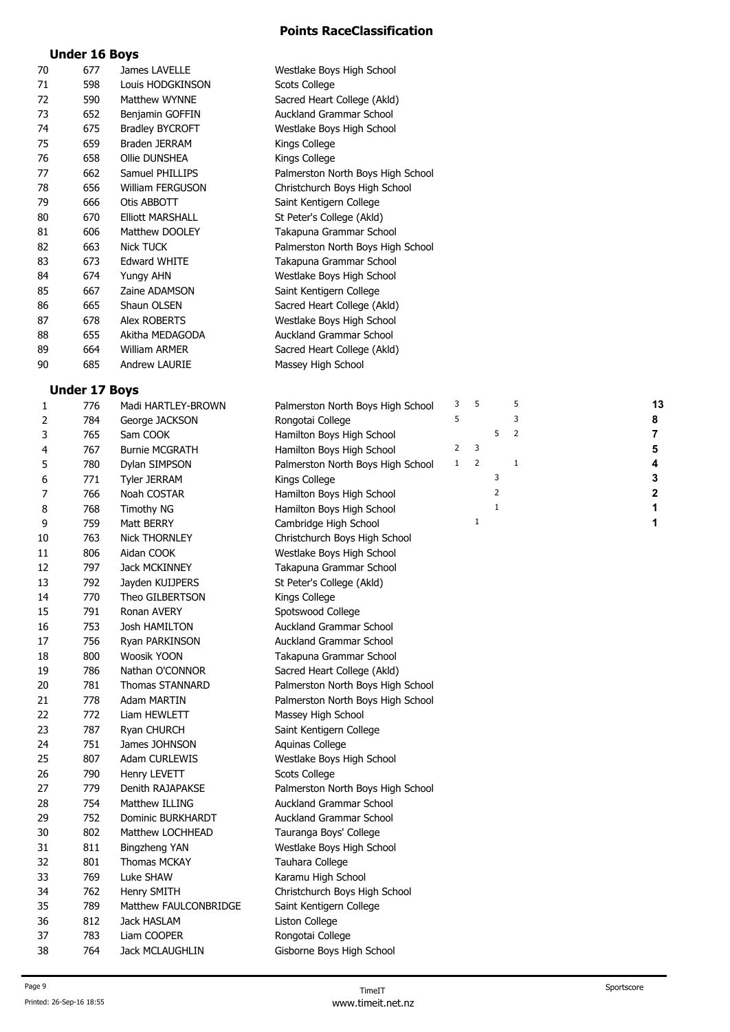## **Under 16 Boys**

| 70 | 677                  | James LAVELLE           | Westlake Boys High School         |              |                |              |                |    |  |
|----|----------------------|-------------------------|-----------------------------------|--------------|----------------|--------------|----------------|----|--|
| 71 | 598                  | Louis HODGKINSON        | Scots College                     |              |                |              |                |    |  |
| 72 | 590                  | Matthew WYNNE           | Sacred Heart College (Akld)       |              |                |              |                |    |  |
| 73 | 652                  | Benjamin GOFFIN         | Auckland Grammar School           |              |                |              |                |    |  |
| 74 | 675                  | <b>Bradley BYCROFT</b>  | Westlake Boys High School         |              |                |              |                |    |  |
| 75 | 659                  | Braden JERRAM           | Kings College                     |              |                |              |                |    |  |
| 76 | 658                  | Ollie DUNSHEA           | Kings College                     |              |                |              |                |    |  |
| 77 | 662                  | Samuel PHILLIPS         | Palmerston North Boys High School |              |                |              |                |    |  |
|    |                      | William FERGUSON        |                                   |              |                |              |                |    |  |
| 78 | 656                  |                         | Christchurch Boys High School     |              |                |              |                |    |  |
| 79 | 666                  | Otis ABBOTT             | Saint Kentigern College           |              |                |              |                |    |  |
| 80 | 670                  | <b>Elliott MARSHALL</b> | St Peter's College (Akld)         |              |                |              |                |    |  |
| 81 | 606                  | Matthew DOOLEY          | Takapuna Grammar School           |              |                |              |                |    |  |
| 82 | 663                  | Nick TUCK               | Palmerston North Boys High School |              |                |              |                |    |  |
| 83 | 673                  | <b>Edward WHITE</b>     | Takapuna Grammar School           |              |                |              |                |    |  |
| 84 | 674                  | Yungy AHN               | Westlake Boys High School         |              |                |              |                |    |  |
| 85 | 667                  | Zaine ADAMSON           | Saint Kentigern College           |              |                |              |                |    |  |
| 86 | 665                  | Shaun OLSEN             | Sacred Heart College (Akld)       |              |                |              |                |    |  |
| 87 | 678                  | Alex ROBERTS            | Westlake Boys High School         |              |                |              |                |    |  |
| 88 | 655                  | Akitha MEDAGODA         | Auckland Grammar School           |              |                |              |                |    |  |
| 89 | 664                  | William ARMER           | Sacred Heart College (Akld)       |              |                |              |                |    |  |
| 90 | 685                  | Andrew LAURIE           | Massey High School                |              |                |              |                |    |  |
|    |                      |                         |                                   |              |                |              |                |    |  |
|    | <b>Under 17 Boys</b> |                         |                                   |              |                |              |                |    |  |
| 1  | 776                  | Madi HARTLEY-BROWN      | Palmerston North Boys High School | 3            | 5              |              | 5              | 13 |  |
| 2  | 784                  | George JACKSON          | Rongotai College                  | 5            |                |              | 3              | 8  |  |
| 3  | 765                  | Sam COOK                | Hamilton Boys High School         |              |                | 5            | $\overline{2}$ | 7  |  |
| 4  | 767                  | <b>Burnie MCGRATH</b>   | Hamilton Boys High School         | 2            | 3              |              |                | 5  |  |
| 5  | 780                  | Dylan SIMPSON           | Palmerston North Boys High School | $\mathbf{1}$ | $\overline{2}$ |              | 1              | 4  |  |
| 6  | 771                  | <b>Tyler JERRAM</b>     | Kings College                     |              |                | 3            |                | 3  |  |
| 7  | 766                  | Noah COSTAR             | Hamilton Boys High School         |              |                | 2            |                | 2  |  |
| 8  | 768                  | <b>Timothy NG</b>       | Hamilton Boys High School         |              |                | $\mathbf{1}$ |                | 1  |  |
| 9  | 759                  | Matt BERRY              | Cambridge High School             |              | 1              |              |                | 1  |  |
| 10 | 763                  | <b>Nick THORNLEY</b>    | Christchurch Boys High School     |              |                |              |                |    |  |
| 11 | 806                  | Aidan COOK              | Westlake Boys High School         |              |                |              |                |    |  |
| 12 | 797                  | Jack MCKINNEY           | Takapuna Grammar School           |              |                |              |                |    |  |
| 13 | 792                  | Jayden KUIJPERS         | St Peter's College (Akld)         |              |                |              |                |    |  |
| 14 | 770                  | Theo GILBERTSON         | Kings College                     |              |                |              |                |    |  |
| 15 | 791                  | Ronan AVERY             | Spotswood College                 |              |                |              |                |    |  |
| 16 | 753                  | Josh HAMILTON           | Auckland Grammar School           |              |                |              |                |    |  |
| 17 | 756                  | Ryan PARKINSON          | <b>Auckland Grammar School</b>    |              |                |              |                |    |  |
| 18 | 800                  | Woosik YOON             | Takapuna Grammar School           |              |                |              |                |    |  |
| 19 | 786                  | Nathan O'CONNOR         | Sacred Heart College (Akld)       |              |                |              |                |    |  |
| 20 | 781                  | Thomas STANNARD         | Palmerston North Boys High School |              |                |              |                |    |  |
| 21 | 778                  | Adam MARTIN             | Palmerston North Boys High School |              |                |              |                |    |  |
|    |                      |                         | Massey High School                |              |                |              |                |    |  |
| 22 | 772                  | Liam HEWLETT            |                                   |              |                |              |                |    |  |
| 23 | 787                  | Ryan CHURCH             | Saint Kentigern College           |              |                |              |                |    |  |
| 24 | 751                  | James JOHNSON           | Aquinas College                   |              |                |              |                |    |  |
| 25 | 807                  | Adam CURLEWIS           | Westlake Boys High School         |              |                |              |                |    |  |
| 26 | 790                  | Henry LEVETT            | Scots College                     |              |                |              |                |    |  |
| 27 | 779                  | Denith RAJAPAKSE        | Palmerston North Boys High School |              |                |              |                |    |  |
| 28 | 754                  | Matthew ILLING          | Auckland Grammar School           |              |                |              |                |    |  |
| 29 | 752                  | Dominic BURKHARDT       | <b>Auckland Grammar School</b>    |              |                |              |                |    |  |
| 30 | 802                  | Matthew LOCHHEAD        | Tauranga Boys' College            |              |                |              |                |    |  |
| 31 | 811                  | Bingzheng YAN           | Westlake Boys High School         |              |                |              |                |    |  |
| 32 | 801                  | Thomas MCKAY            | Tauhara College                   |              |                |              |                |    |  |
| 33 | 769                  | Luke SHAW               | Karamu High School                |              |                |              |                |    |  |
| 34 | 762                  | Henry SMITH             | Christchurch Boys High School     |              |                |              |                |    |  |
| 35 | 789                  | Matthew FAULCONBRIDGE   | Saint Kentigern College           |              |                |              |                |    |  |
| 36 | 812                  | Jack HASLAM             | Liston College                    |              |                |              |                |    |  |
| 37 | 783                  | Liam COOPER             | Rongotai College                  |              |                |              |                |    |  |
| 38 | 764                  | Jack MCLAUGHLIN         | Gisborne Boys High School         |              |                |              |                |    |  |
|    |                      |                         |                                   |              |                |              |                |    |  |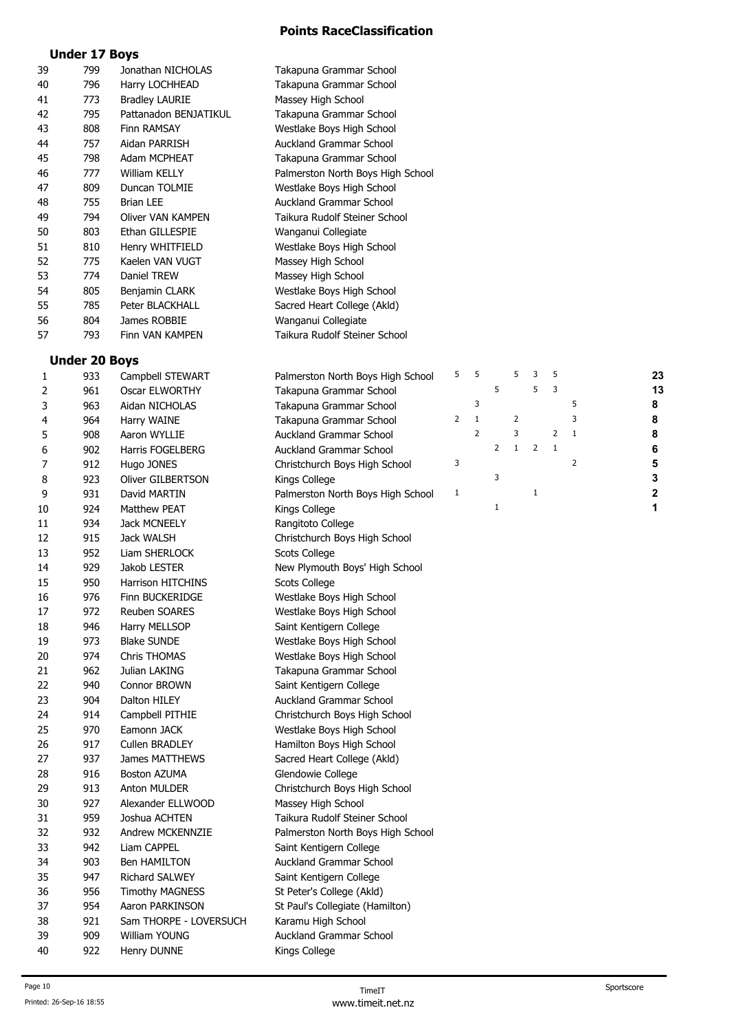## **Under 17 Boys**

| 39 | 799 | Jonathan NICHOLAS     | Takapuna Grammar School           |
|----|-----|-----------------------|-----------------------------------|
| 40 | 796 | Harry LOCHHEAD        | Takapuna Grammar School           |
| 41 | 773 | <b>Bradley LAURIE</b> | Massey High School                |
| 42 | 795 | Pattanadon BENJATIKUL | Takapuna Grammar School           |
| 43 | 808 | Finn RAMSAY           | Westlake Boys High School         |
| 44 | 757 | Aidan PARRISH         | Auckland Grammar School           |
| 45 | 798 | Adam MCPHEAT          | Takapuna Grammar School           |
| 46 | 777 | William KELLY         | Palmerston North Boys High School |
| 47 | 809 | Duncan TOLMIE         | Westlake Boys High School         |
| 48 | 755 | <b>Brian LEE</b>      | <b>Auckland Grammar School</b>    |
| 49 | 794 | Oliver VAN KAMPEN     | Taikura Rudolf Steiner School     |
| 50 | 803 | Ethan GILLESPIE       | Wanganui Collegiate               |
| 51 | 810 | Henry WHITFIELD       | Westlake Boys High School         |
| 52 | 775 | Kaelen VAN VUGT       | Massey High School                |
| 53 | 774 | Daniel TREW           | Massey High School                |
| 54 | 805 | Benjamin CLARK        | Westlake Boys High School         |
| 55 | 785 | Peter BLACKHALL       | Sacred Heart College (Akld)       |
| 56 | 804 | James ROBBIE          | Wanganui Collegiate               |
| 57 | 793 | Finn VAN KAMPEN       | Taikura Rudolf Steiner School     |

# **Under 20 Boys**<br>933 Campbell STEWADT

| 1  | 933 | Campbell STEWART        | Palmerston North Boys High School | 5              | 5              |                | 5              | 3              | 5              |                | 23 |
|----|-----|-------------------------|-----------------------------------|----------------|----------------|----------------|----------------|----------------|----------------|----------------|----|
| 2  | 961 | Oscar ELWORTHY          | Takapuna Grammar School           |                |                | 5              |                | 5              | 3              |                | 13 |
| 3  | 963 | Aidan NICHOLAS          | Takapuna Grammar School           |                | 3              |                |                |                |                | 5              | 8  |
| 4  | 964 | Harry WAINE             | Takapuna Grammar School           | $\overline{2}$ | $\mathbf{1}$   |                | $\overline{2}$ |                |                | 3              | 8  |
| 5  | 908 | Aaron WYLLIE            | Auckland Grammar School           |                | $\overline{2}$ |                | 3              |                | $\overline{2}$ | $\mathbf{1}$   | 8  |
| 6  | 902 | <b>Harris FOGELBERG</b> | Auckland Grammar School           |                |                | $\overline{2}$ | $\mathbf{1}$   | $\overline{2}$ | $1\,$          |                | 6  |
| 7  | 912 | Hugo JONES              | Christchurch Boys High School     | 3              |                |                |                |                |                | $\overline{2}$ | 5  |
| 8  | 923 | Oliver GILBERTSON       | Kings College                     |                |                | 3              |                |                |                |                | 3  |
| 9  | 931 | David MARTIN            | Palmerston North Boys High School | 1              |                |                |                | $\mathbf{1}$   |                |                | 2  |
| 10 | 924 | <b>Matthew PEAT</b>     | Kings College                     |                |                | $\mathbf 1$    |                |                |                |                | 1  |
| 11 | 934 | <b>Jack MCNEELY</b>     | Rangitoto College                 |                |                |                |                |                |                |                |    |
| 12 | 915 | Jack WALSH              | Christchurch Boys High School     |                |                |                |                |                |                |                |    |
| 13 | 952 | Liam SHERLOCK           | Scots College                     |                |                |                |                |                |                |                |    |
| 14 | 929 | Jakob LESTER            | New Plymouth Boys' High School    |                |                |                |                |                |                |                |    |
| 15 | 950 | Harrison HITCHINS       | Scots College                     |                |                |                |                |                |                |                |    |
| 16 | 976 | Finn BUCKERIDGE         | Westlake Boys High School         |                |                |                |                |                |                |                |    |
| 17 | 972 | Reuben SOARES           | Westlake Boys High School         |                |                |                |                |                |                |                |    |
| 18 | 946 | Harry MELLSOP           | Saint Kentigern College           |                |                |                |                |                |                |                |    |
| 19 | 973 | <b>Blake SUNDE</b>      | Westlake Boys High School         |                |                |                |                |                |                |                |    |
| 20 | 974 | Chris THOMAS            | Westlake Boys High School         |                |                |                |                |                |                |                |    |
| 21 | 962 | Julian LAKING           | Takapuna Grammar School           |                |                |                |                |                |                |                |    |
| 22 | 940 | Connor BROWN            | Saint Kentigern College           |                |                |                |                |                |                |                |    |
| 23 | 904 | Dalton HILEY            | <b>Auckland Grammar School</b>    |                |                |                |                |                |                |                |    |
| 24 | 914 | Campbell PITHIE         | Christchurch Boys High School     |                |                |                |                |                |                |                |    |
| 25 | 970 | Eamonn JACK             | Westlake Boys High School         |                |                |                |                |                |                |                |    |
| 26 | 917 | <b>Cullen BRADLEY</b>   | Hamilton Boys High School         |                |                |                |                |                |                |                |    |
| 27 | 937 | James MATTHEWS          | Sacred Heart College (Akld)       |                |                |                |                |                |                |                |    |
| 28 | 916 | Boston AZUMA            | Glendowie College                 |                |                |                |                |                |                |                |    |
| 29 | 913 | Anton MULDER            | Christchurch Boys High School     |                |                |                |                |                |                |                |    |
| 30 | 927 | Alexander ELLWOOD       | Massey High School                |                |                |                |                |                |                |                |    |
| 31 | 959 | Joshua ACHTEN           | Taikura Rudolf Steiner School     |                |                |                |                |                |                |                |    |
| 32 | 932 | Andrew MCKENNZIE        | Palmerston North Boys High School |                |                |                |                |                |                |                |    |
| 33 | 942 | Liam CAPPEL             | Saint Kentigern College           |                |                |                |                |                |                |                |    |
| 34 | 903 | Ben HAMILTON            | Auckland Grammar School           |                |                |                |                |                |                |                |    |
| 35 | 947 | Richard SALWEY          | Saint Kentigern College           |                |                |                |                |                |                |                |    |
| 36 | 956 | <b>Timothy MAGNESS</b>  | St Peter's College (Akld)         |                |                |                |                |                |                |                |    |
| 37 | 954 | Aaron PARKINSON         | St Paul's Collegiate (Hamilton)   |                |                |                |                |                |                |                |    |
| 38 | 921 | Sam THORPE - LOVERSUCH  | Karamu High School                |                |                |                |                |                |                |                |    |
| 39 | 909 | William YOUNG           | <b>Auckland Grammar School</b>    |                |                |                |                |                |                |                |    |
| 40 | 922 | Henry DUNNE             | Kings College                     |                |                |                |                |                |                |                |    |
|    |     |                         |                                   |                |                |                |                |                |                |                |    |